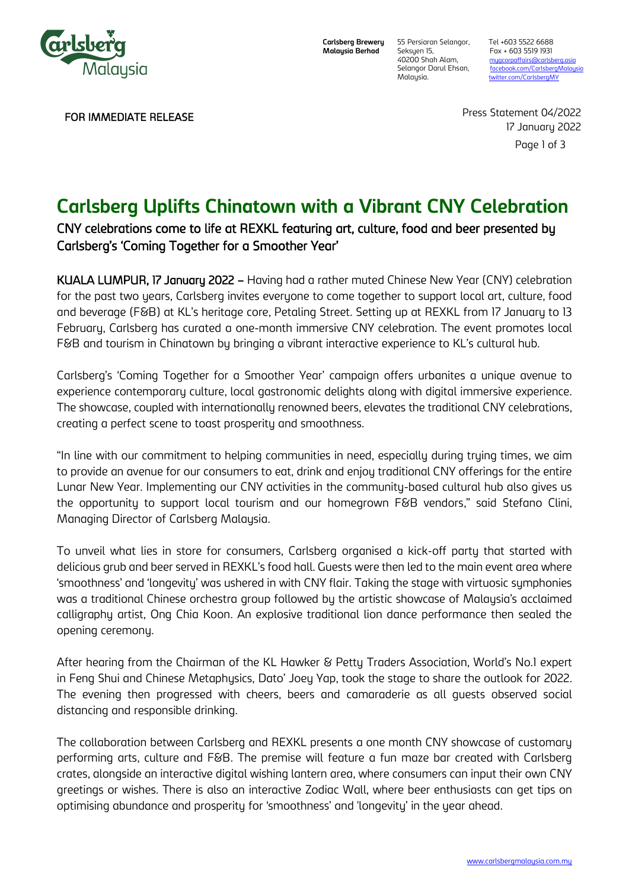

**Carlsberg Brewery Malaysia Berhad**

Seksyen 15, Fax + 603 5519 1931<br>40200 Shah Alam, mugcorpaffairs@carlsb

55 Persiaran Selangor, Tel +603 5522 6688 40200 Shah Alam, [mygcorpaffairs@carlsberg.asia](mailto:mygcorpaffairs@carlsberg.asia)<br>1991 Selangor Darul Ehsan, facebook.com/CarlsbergMalay Selangor Darul Ehsan, facebook.com/CarlsbergMalays<br>Malaysia. twitter.com/CarlsbergMY [twitter.com/CarlsbergMY](about:blank)

FOR IMMEDIATE RELEASE

Press Statement 04/2022 17 January 2022

Page 1 of 3

# **Carlsberg Uplifts Chinatown with a Vibrant CNY Celebration**

## CNY celebrations come to life at REXKL featuring art, culture, food and beer presented by Carlsberg's 'Coming Together for a Smoother Year'

KUALA LUMPUR, 17 January 2022 – Having had a rather muted Chinese New Year (CNY) celebration for the past two years, Carlsberg invites everyone to come together to support local art, culture, food and beverage (F&B) at KL's heritage core, Petaling Street. Setting up at REXKL from 17 January to 13 February, Carlsberg has curated a one-month immersive CNY celebration. The event promotes local F&B and tourism in Chinatown by bringing a vibrant interactive experience to KL's cultural hub.

Carlsberg's 'Coming Together for a Smoother Year' campaign offers urbanites a unique avenue to experience contemporary culture, local gastronomic delights along with digital immersive experience. The showcase, coupled with internationally renowned beers, elevates the traditional CNY celebrations, creating a perfect scene to toast prosperity and smoothness.

"In line with our commitment to helping communities in need, especially during trying times, we aim to provide an avenue for our consumers to eat, drink and enjoy traditional CNY offerings for the entire Lunar New Year. Implementing our CNY activities in the community-based cultural hub also gives us the opportunity to support local tourism and our homegrown F&B vendors," said Stefano Clini, Managing Director of Carlsberg Malaysia.

To unveil what lies in store for consumers, Carlsberg organised a kick-off party that started with delicious grub and beer served in REXKL's food hall. Guests were then led to the main event area where 'smoothness' and 'longevity' was ushered in with CNY flair. Taking the stage with virtuosic symphonies was a traditional Chinese orchestra group followed by the artistic showcase of Malaysia's acclaimed calligraphy artist, Ong Chia Koon. An explosive traditional lion dance performance then sealed the opening ceremony.

After hearing from the Chairman of the KL Hawker & Petty Traders Association, World's No.1 expert in Feng Shui and Chinese Metaphysics, Dato' Joey Yap, took the stage to share the outlook for 2022. The evening then progressed with cheers, beers and camaraderie as all guests observed social distancing and responsible drinking.

The collaboration between Carlsberg and REXKL presents a one month CNY showcase of customary performing arts, culture and F&B. The premise will feature a fun maze bar created with Carlsberg crates, alongside an interactive digital wishing lantern area, where consumers can input their own CNY greetings or wishes. There is also an interactive Zodiac Wall, where beer enthusiasts can get tips on optimising abundance and prosperity for 'smoothness' and 'longevity' in the year ahead.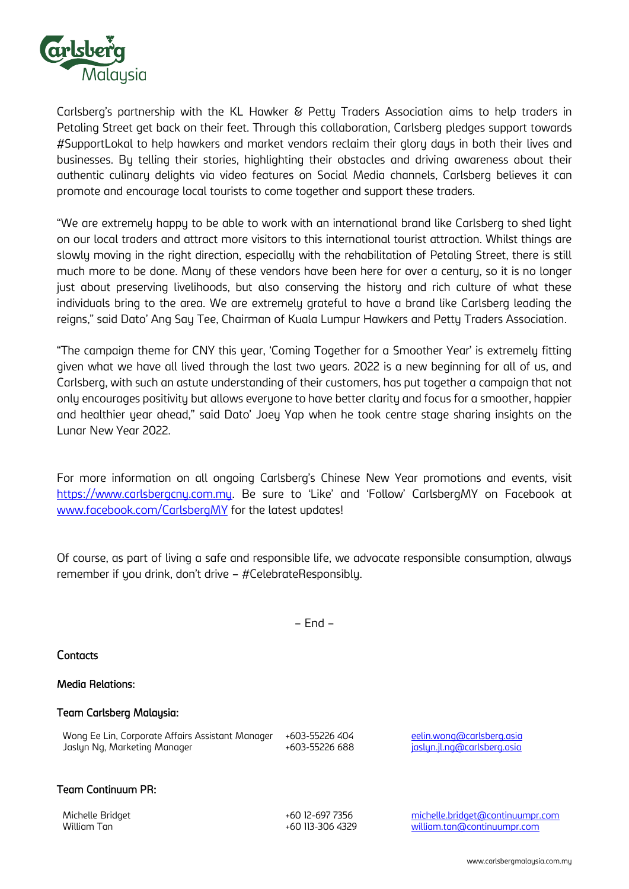

Carlsberg's partnership with the KL Hawker & Petty Traders Association aims to help traders in Petaling Street get back on their feet. Through this collaboration, Carlsberg pledges support towards #SupportLokal to help hawkers and market vendors reclaim their glory days in both their lives and businesses. By telling their stories, highlighting their obstacles and driving awareness about their authentic culinary delights via video features on Social Media channels, Carlsberg believes it can promote and encourage local tourists to come together and support these traders.

"We are extremely happy to be able to work with an international brand like Carlsberg to shed light on our local traders and attract more visitors to this international tourist attraction. Whilst things are slowly moving in the right direction, especially with the rehabilitation of Petaling Street, there is still much more to be done. Many of these vendors have been here for over a century, so it is no longer just about preserving livelihoods, but also conserving the history and rich culture of what these individuals bring to the area. We are extremely grateful to have a brand like Carlsberg leading the reigns," said Dato' Ang Say Tee, Chairman of Kuala Lumpur Hawkers and Petty Traders Association.

"The campaign theme for CNY this year, 'Coming Together for a Smoother Year' is extremely fitting given what we have all lived through the last two years. 2022 is a new beginning for all of us, and Carlsberg, with such an astute understanding of their customers, has put together a campaign that not only encourages positivity but allows everyone to have better clarity and focus for a smoother, happier and healthier year ahead," said Dato' Joey Yap when he took centre stage sharing insights on the Lunar New Year 2022.

For more information on all ongoing Carlsberg's Chinese New Year promotions and events, visit [https://www.carlsbergcny.com.my](https://www.carlsbergcny.com.my/). Be sure to 'Like' and 'Follow' CarlsbergMY on Facebook at [www.facebook.com/CarlsbergMY](http://www.facebook.com/CarlsbergMY) for the latest updates!

Of course, as part of living a safe and responsible life, we advocate responsible consumption, always remember if you drink, don't drive – #CelebrateResponsibly.

– End –

Contacts

## Media Relations:

## Team Carlsberg Malaysia:

| Wong Ee Lin, Corporate Affairs Assistant Manager | +603-55226 404 | eelin.wong@carlsberg.asia   |
|--------------------------------------------------|----------------|-----------------------------|
| Jaslyn Ng, Marketing Manager                     | +603-55226 688 | jaslyn.jl.ng@carlsberg.asia |

## Team Continuum PR:

Michelle Bridget +60 12-697 7356 [michelle.bridget@continuumpr.com](mailto:michelle.bridget@continuumpr.com) William Tan +60 113-306 4329 [william.tan@continuumpr.com](mailto:william.tan@continuumpr.com)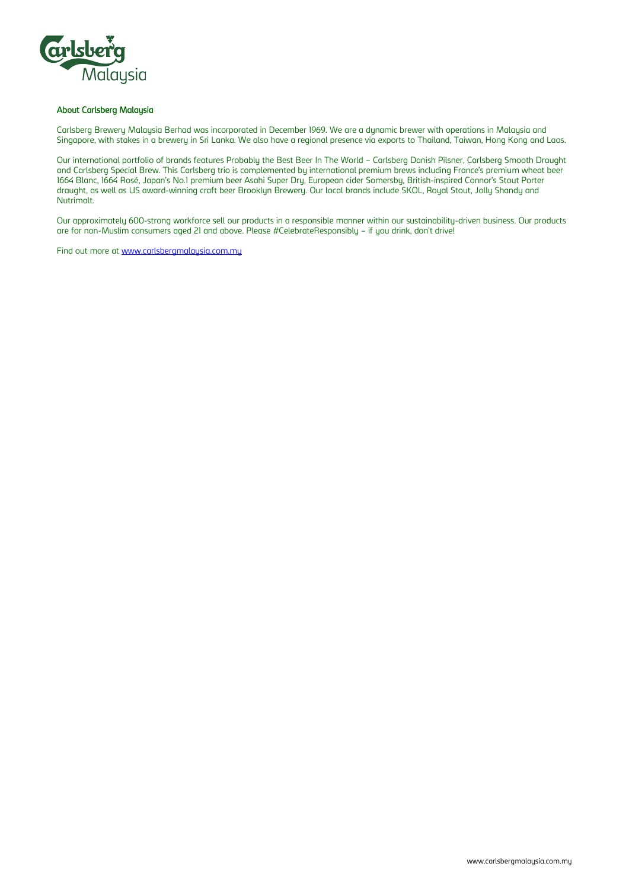

#### About Carlsberg Malaysia

Carlsberg Brewery Malaysia Berhad was incorporated in December 1969. We are a dynamic brewer with operations in Malaysia and Singapore, with stakes in a brewery in Sri Lanka. We also have a regional presence via exports to Thailand, Taiwan, Hong Kong and Laos.

Our international portfolio of brands features Probably the Best Beer In The World – Carlsberg Danish Pilsner, Carlsberg Smooth Draught and Carlsberg Special Brew. This Carlsberg trio is complemented by international premium brews including France's premium wheat beer 1664 Blanc, 1664 Rosé, Japan's No.1 premium beer Asahi Super Dry, European cider Somersby, British-inspired Connor's Stout Porter draught, as well as US award-winning craft beer Brooklyn Brewery. Our local brands include SKOL, Royal Stout, Jolly Shandy and Nutrimalt.

Our approximately 600-strong workforce sell our products in a responsible manner within our sustainability-driven business. Our products are for non-Muslim consumers aged 21 and above. Please #CelebrateResponsibly – if you drink, don't drive!

Find out more at [www.carlsbergmalaysia.com.my](http://www.carlsbergmalaysia.com.my/)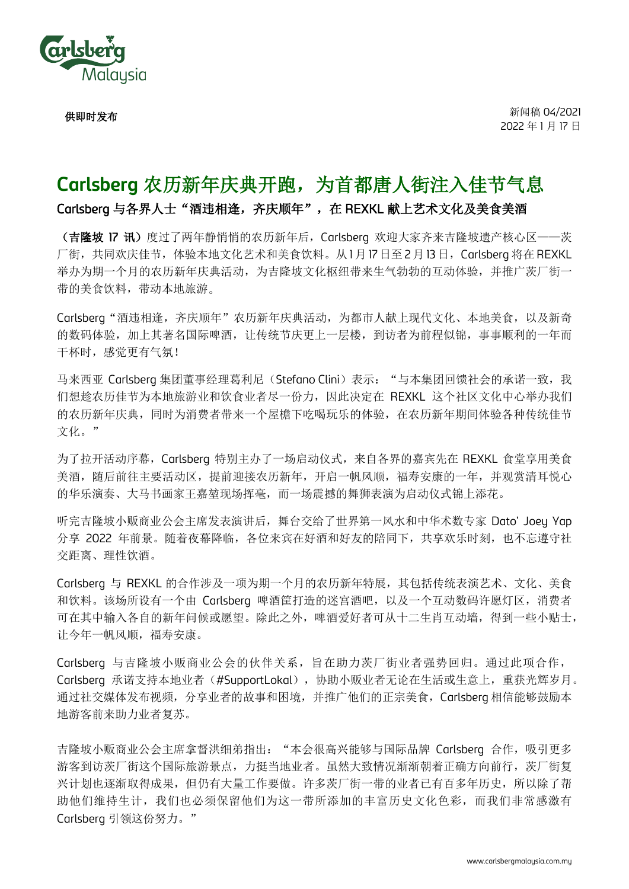

供即时发布

新闻稿 04/2021 2022 年 1 月 17 日

## **Carlsberg** 农历新年庆典开跑,为首都唐人街注入佳节气息

Carlsberg 与各界人士"酒违相逢,齐庆顺年",在 REXKL 献上艺术文化及美食美酒

(吉隆坡 17 讯)度过了两年静悄悄的农历新年后, Carlsberg 欢迎大家齐来吉隆坡遗产核心区——茨 厂街,共同欢庆佳节,体验本地文化艺术和美食饮料。从1月17日至2月13日, Carlsberq 将在 REXKL 举办为期一个月的农历新年庆典活动,为吉隆坡文化枢纽带来生气勃勃的互动体验,并推广茨厂街一 带的美食饮料,带动本地旅游。

Carlsberg"酒违相逢,齐庆顺年"农历新年庆典活动,为都市人献上现代文化、本地美食,以及新奇 的数码体验,加上其著名国际啤酒,让传统节庆更上一层楼,到访者为前程似锦,事事顺利的一年而 干杯时, 感觉更有气氛!

马来西亚 Carlsberg 集团董事经理葛利尼(Stefano Clini)表示: "与本集团回馈社会的承诺一致, 我 们想趁农历佳节为本地旅游业和饮食业者尽一份力,因此决定在 REXKL 这个社区文化中心举办我们 的农历新年庆典,同时为消费者带来一个屋檐下吃喝玩乐的体验,在农历新年期间体验各种传统佳节 文化。"

为了拉开活动序幕,Carlsberg 特别主办了一场启动仪式,来自各界的嘉宾先在 REXKL 食堂享用美食 美酒,随后前往主要活动区,提前迎接农历新年,开启一帆风顺,福寿安康的一年,并观赏清耳悦心 的华乐演奏、大马书画家王嘉堃现场挥毫,而一场震撼的舞狮表演为启动仪式锦上添花。

听完吉隆坡小贩商业公会主席发表演讲后,舞台交给了世界第一风水和中华术数专家 Dato' Joey Yap 分享 2022 年前景。随着夜幕降临,各位来宾在好酒和好友的陪同下,共享欢乐时刻,也不忘遵守社 交距离、理性饮酒。

Carlsberg 与 REXKL 的合作涉及一项为期一个月的农历新年特展,其包括传统表演艺术、文化、美食 和饮料。该场所设有一个由 Carlsberg 啤酒筐打造的迷宫酒吧,以及一个互动数码许愿灯区,消费者 可在其中输入各自的新年问候或愿望。除此之外,啤酒爱好者可从十二生肖互动墙,得到一些小贴士, 让今年一帆风顺,福寿安康。

Carlsberg 与吉隆坡小贩商业公会的伙伴关系,旨在助力茨厂街业者强势回归。通过此项合作, Carlsberg 承诺支持本地业者(#SupportLokal), 协助小贩业者无论在生活或生意上, 重获光辉岁月。 通过社交媒体发布视频,分享业者的故事和困境,并推广他们的正宗美食,Carlsberg 相信能够鼓励本 地游客前来助力业者复苏。

吉隆坡小贩商业公会主席拿督洪细弟指出: "本会很高兴能够与国际品牌 Carlsberg 合作, 吸引更多 游客到访茨厂街这个国际旅游景点,力挺当地业者。虽然大致情况渐渐朝着正确方向前行,茨厂街复 兴计划也逐渐取得成果,但仍有大量工作要做。许多茨厂街一带的业者已有百多年历史,所以除了帮 助他们维持生计,我们也必须保留他们为这一带所添加的丰富历史文化色彩,而我们非常感激有 Carlsberg 引领这份努力。"